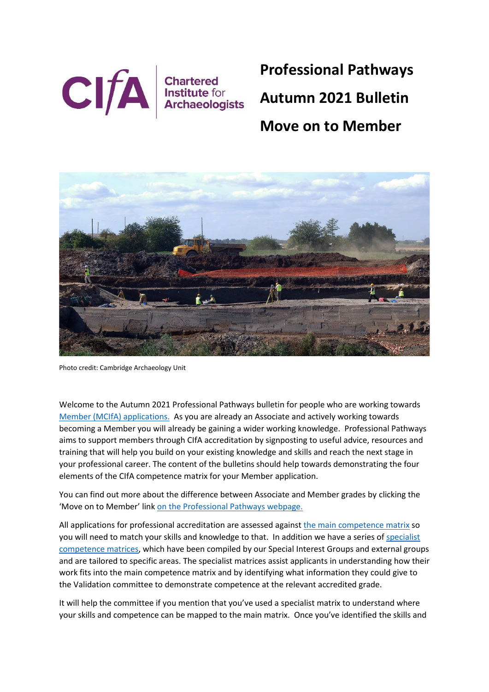

**Professional Pathways Autumn 2021 Bulletin**

# **Move on to Member**



Photo credit: Cambridge Archaeology Unit

Welcome to the Autumn 2021 Professional Pathways bulletin for people who are working towards [Member \(MCIfA\) applications.](https://www.archaeologists.net/join/mcifa) As you are already an Associate and actively working towards becoming a Member you will already be gaining a wider working knowledge. Professional Pathways aims to support members through CIfA accreditation by signposting to useful advice, resources and training that will help you build on your existing knowledge and skills and reach the next stage in your professional career. The content of the bulletins should help towards demonstrating the four elements of the CIfA competence matrix for your Member application.

You can find out more about the difference between Associate and Member grades by clicking the 'Move on to Member' link [on the Professional Pathways webpage.](https://www.archaeologists.net/join/pathway)

All applications for professional accreditation are assessed agains[t the main competence matrix](https://www.archaeologists.net/matrices) so you will need to match your skills and knowledge to that. In addition we have a series o[f specialist](https://www.archaeologists.net/matrices)  [competence matrices,](https://www.archaeologists.net/matrices) which have been compiled by our Special Interest Groups and external groups and are tailored to specific areas. The specialist matrices assist applicants in understanding how their work fits into the main competence matrix and by identifying what information they could give to the Validation committee to demonstrate competence at the relevant accredited grade.

It will help the committee if you mention that you've used a specialist matrix to understand where your skills and competence can be mapped to the main matrix. Once you've identified the skills and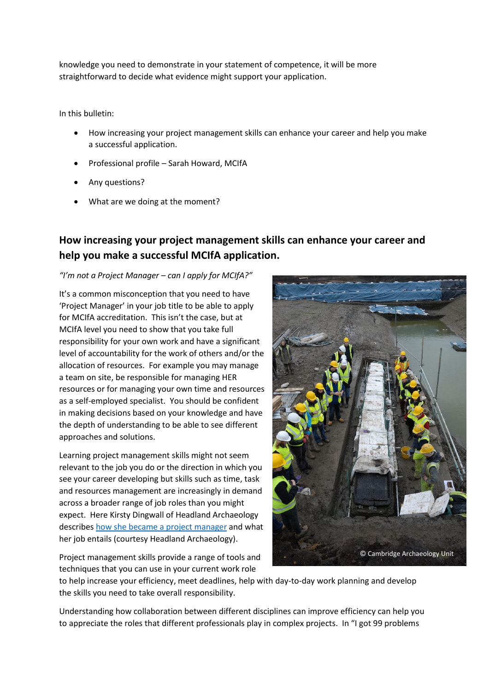knowledge you need to demonstrate in your statement of competence, it will be more straightforward to decide what evidence might support your application.

In this bulletin:

- How increasing your project management skills can enhance your career and help you make a successful application.
- Professional profile Sarah Howard, MCIfA
- Any questions?
- What are we doing at the moment?

# **How increasing your project management skills can enhance your career and help you make a successful MCIfA application.**

#### *"I'm not a Project Manager – can I apply for MCIfA?"*

It's a common misconception that you need to have 'Project Manager' in your job title to be able to apply for MCIfA accreditation. This isn't the case, but at MCIfA level you need to show that you take full responsibility for your own work and have a significant level of accountability for the work of others and/or the allocation of resources. For example you may manage a team on site, be responsible for managing HER resources or for managing your own time and resources as a self-employed specialist. You should be confident in making decisions based on your knowledge and have the depth of understanding to be able to see different approaches and solutions.

Learning project management skills might not seem relevant to the job you do or the direction in which you see your career developing but skills such as time, task and resources management are increasingly in demand across a broader range of job roles than you might expect. Here Kirsty Dingwall of Headland Archaeology describe[s how she became a project manager](https://headlandarchaeology.com/from-the-field-a-project-managers-perspective/) and what her job entails (courtesy Headland Archaeology).



Project management skills provide a range of tools and techniques that you can use in your current work role



to help increase your efficiency, meet deadlines, help with day-to-day work planning and develop the skills you need to take overall responsibility.

Understanding how collaboration between different disciplines can improve efficiency can help you to appreciate the roles that different professionals play in complex projects. In "I got 99 problems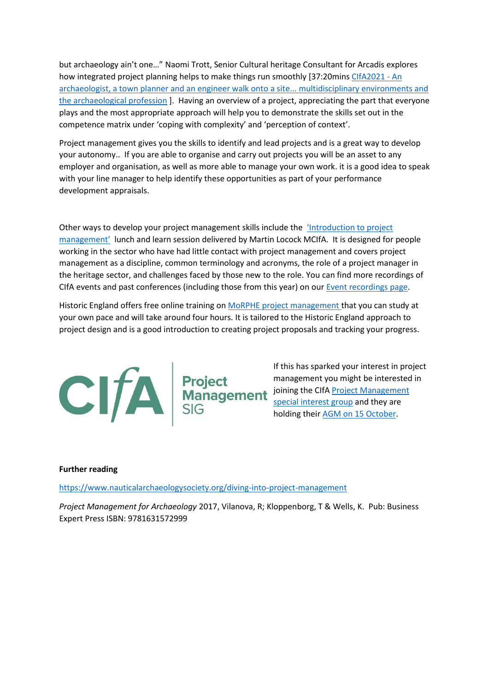but archaeology ain't one…" Naomi Trott, Senior Cultural heritage Consultant for Arcadis explores how integrated project planning helps to make things run smoothly [37:20mins [CIfA2021 -](https://www.youtube.com/watch?v=cZBFnMC5tp4) An [archaeologist, a town planner and an engineer walk onto a site... multidisciplinary environments and](https://www.youtube.com/watch?v=cZBFnMC5tp4)  [the archaeological profession](https://www.youtube.com/watch?v=cZBFnMC5tp4) ]. Having an overview of a project, appreciating the part that everyone plays and the most appropriate approach will help you to demonstrate the skills set out in the competence matrix under 'coping with complexity' and 'perception of context'.

Project management gives you the skills to identify and lead projects and is a great way to develop your autonomy.. If you are able to organise and carry out projects you will be an asset to any employer and organisation, as well as more able to manage your own work. it is a good idea to speak with your line manager to help identify these opportunities as part of your performance development appraisals.

Other ways to develop your project management skills include the ['Introduction to project](https://www.youtube.com/watch?v=iIC7tuo3VyE)  [management'](https://www.youtube.com/watch?v=iIC7tuo3VyE) lunch and learn session delivered by Martin Locock MCIfA. It is designed for people working in the sector who have had little contact with project management and covers project management as a discipline, common terminology and acronyms, the role of a project manager in the heritage sector, and challenges faced by those new to the role. You can find more recordings of CIfA events and past conferences (including those from this year) on our [Event recordings page.](https://www.archaeologists.net/events/event-recordings)

Historic England offers free online training o[n MoRPHE project management t](https://historicengland.org.uk/services-skills/training-skills/online-training/morphe/)hat you can study at your own pace and will take around four hours. It is tailored to the Historic England approach to project design and is a good introduction to creating project proposals and tracking your progress.



#### **Further reading**

<https://www.nauticalarchaeologysociety.org/diving-into-project-management>

*Project Management for Archaeology* 2017, Vilanova, R; Kloppenborg, T & Wells, K. Pub: Business Expert Press ISBN: 9781631572999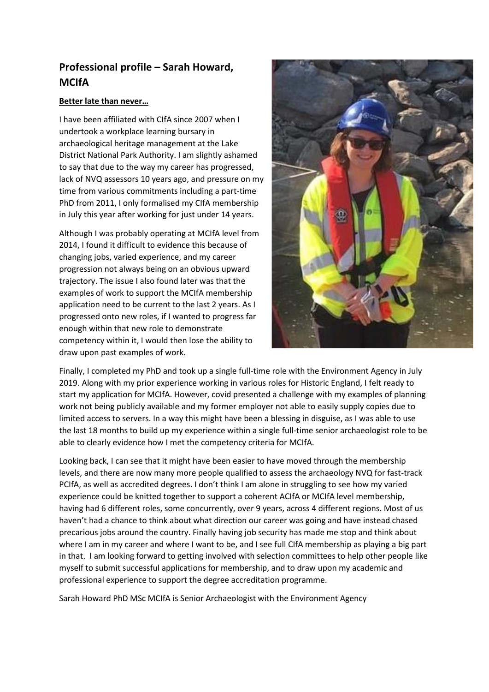## **Professional profile – Sarah Howard, MCIfA**

#### **Better late than never…**

I have been affiliated with CIfA since 2007 when I undertook a workplace learning bursary in archaeological heritage management at the Lake District National Park Authority. I am slightly ashamed to say that due to the way my career has progressed, lack of NVQ assessors 10 years ago, and pressure on my time from various commitments including a part-time PhD from 2011, I only formalised my CIfA membership in July this year after working for just under 14 years.

Although I was probably operating at MCIfA level from 2014, I found it difficult to evidence this because of changing jobs, varied experience, and my career progression not always being on an obvious upward trajectory. The issue I also found later was that the examples of work to support the MCIfA membership application need to be current to the last 2 years. As I progressed onto new roles, if I wanted to progress far enough within that new role to demonstrate competency within it, I would then lose the ability to draw upon past examples of work.



Finally, I completed my PhD and took up a single full-time role with the Environment Agency in July 2019. Along with my prior experience working in various roles for Historic England, I felt ready to start my application for MCIfA. However, covid presented a challenge with my examples of planning work not being publicly available and my former employer not able to easily supply copies due to limited access to servers. In a way this might have been a blessing in disguise, as I was able to use the last 18 months to build up my experience within a single full-time senior archaeologist role to be able to clearly evidence how I met the competency criteria for MCIfA.

Looking back, I can see that it might have been easier to have moved through the membership levels, and there are now many more people qualified to assess the archaeology NVQ for fast-track PCIfA, as well as accredited degrees. I don't think I am alone in struggling to see how my varied experience could be knitted together to support a coherent ACIfA or MCIfA level membership, having had 6 different roles, some concurrently, over 9 years, across 4 different regions. Most of us haven't had a chance to think about what direction our career was going and have instead chased precarious jobs around the country. Finally having job security has made me stop and think about where I am in my career and where I want to be, and I see full CIfA membership as playing a big part in that. I am looking forward to getting involved with selection committees to help other people like myself to submit successful applications for membership, and to draw upon my academic and professional experience to support the degree accreditation programme.

Sarah Howard PhD MSc MCIfA is Senior Archaeologist with the Environment Agency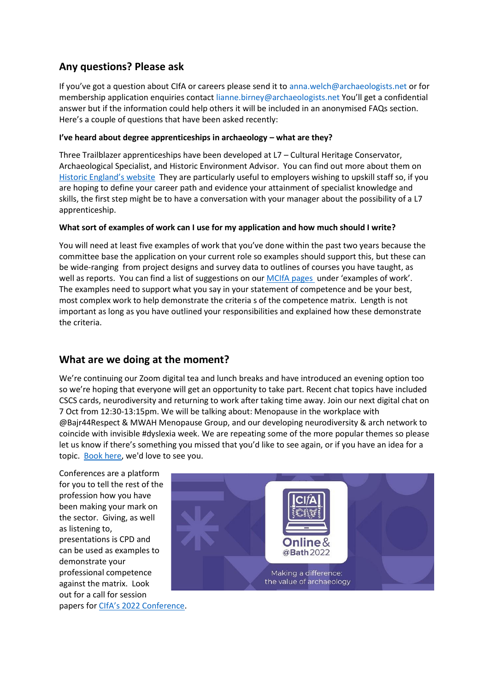### **Any questions? Please ask**

If you've got a question about CIfA or careers please send it to [anna.welch@archaeologists.net](mailto:anna.welch@archaeologists.net) or for membership application enquiries contact lianne.birney@archaeologists.net You'll get a confidential answer but if the information could help others it will be included in an anonymised FAQs section. Here's a couple of questions that have been asked recently:

#### **I've heard about degree apprenticeships in archaeology – what are they?**

Three Trailblazer apprenticeships have been developed at L7 – Cultural Heritage Conservator, Archaeological Specialist, and Historic Environment Advisor. You can find out more about them on [Historic Englan](https://historicengland.org.uk/services-skills/training-skills/work-based-training/heritage-apprenticeships/)d's website They are particularly useful to employers wishing to upskill staff so, if you are hoping to define your career path and evidence your attainment of specialist knowledge and skills, the first step might be to have a conversation with your manager about the possibility of a L7 apprenticeship.

#### **What sort of examples of work can I use for my application and how much should I write?**

You will need at least five examples of work that you've done within the past two years because the committee base the application on your current role so examples should support this, but these can be wide-ranging from project designs and survey data to outlines of courses you have taught, as well as reports. You can find a list of suggestions on ou[r MCIfA pages u](https://www.archaeologists.net/join/mcifa)nder 'examples of work'. The examples need to support what you say in your statement of competence and be your best, most complex work to help demonstrate the criteria s of the competence matrix. Length is not important as long as you have outlined your responsibilities and explained how these demonstrate the criteria.

### **What are we doing at the moment?**

We're continuing our Zoom digital tea and lunch breaks and have introduced an evening option too so we're hoping that everyone will get an opportunity to take part. Recent chat topics have included CSCS cards, neurodiversity and returning to work after taking time away. Join our next digital chat on 7 Oct from 12:30-13:15pm. We will be talking about: Menopause in the workplace with @Bajr44Respect & MWAH Menopause Group, and our developing neurodiversity & arch network to coincide with invisible #dyslexia week. We are repeating some of the more popular themes so please let us know if there's something you missed that you'd like to see again, or if you have an idea for a topic. [Book here,](https://bit.ly/3D118ug) we'd love to see you.

Conferences are a platform for you to tell the rest of the profession how you have been making your mark on the sector. Giving, as well as listening to, presentations is CPD and can be used as examples to demonstrate your professional competence against the matrix. Look out for a call for session papers for [CIfA's 2022 Conference](https://www.archaeologists.net/conference).